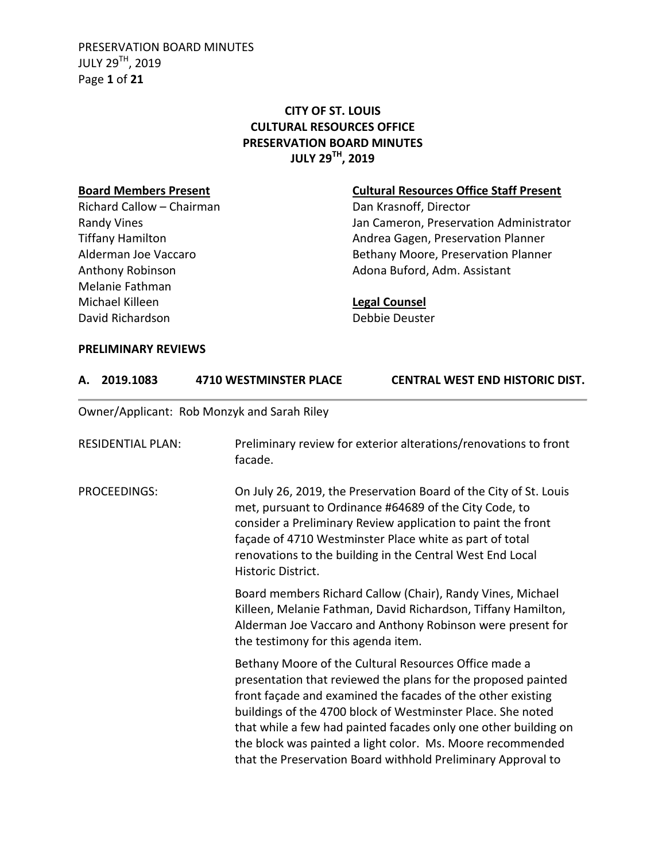PRESERVATION BOARD MINUTES JULY 29TH, 2019 Page **1** of **21**

# **CITY OF ST. LOUIS CULTURAL RESOURCES OFFICE PRESERVATION BOARD MINUTES JULY 29TH, 2019**

Richard Callow – Chairman Dan Krasnoff, Director Melanie Fathman Michael Killeen **Legal Counsel** David Richardson Debbie Deuster

#### **Board Members Present Cultural Resources Office Staff Present**

Randy Vines **National Community Community** Jan Cameron, Preservation Administrator Tiffany Hamilton **Andrea Gagen, Preservation Planner** Alderman Joe Vaccaro **Bethany Moore, Preservation Planner** Anthony Robinson **Adona Buford, Adm. Assistant** 

#### **PRELIMINARY REVIEWS**

| А. | 2019.1083                | <b>4710 WESTMINSTER PLACE</b>               | <b>CENTRAL WEST END HISTORIC DIST.</b>                                                                                                                                                                                                                                                                                                                                                                                                                |
|----|--------------------------|---------------------------------------------|-------------------------------------------------------------------------------------------------------------------------------------------------------------------------------------------------------------------------------------------------------------------------------------------------------------------------------------------------------------------------------------------------------------------------------------------------------|
|    |                          | Owner/Applicant: Rob Monzyk and Sarah Riley |                                                                                                                                                                                                                                                                                                                                                                                                                                                       |
|    | <b>RESIDENTIAL PLAN:</b> | facade.                                     | Preliminary review for exterior alterations/renovations to front                                                                                                                                                                                                                                                                                                                                                                                      |
|    | <b>PROCEEDINGS:</b>      | Historic District.                          | On July 26, 2019, the Preservation Board of the City of St. Louis<br>met, pursuant to Ordinance #64689 of the City Code, to<br>consider a Preliminary Review application to paint the front<br>façade of 4710 Westminster Place white as part of total<br>renovations to the building in the Central West End Local                                                                                                                                   |
|    |                          | the testimony for this agenda item.         | Board members Richard Callow (Chair), Randy Vines, Michael<br>Killeen, Melanie Fathman, David Richardson, Tiffany Hamilton,<br>Alderman Joe Vaccaro and Anthony Robinson were present for                                                                                                                                                                                                                                                             |
|    |                          |                                             | Bethany Moore of the Cultural Resources Office made a<br>presentation that reviewed the plans for the proposed painted<br>front façade and examined the facades of the other existing<br>buildings of the 4700 block of Westminster Place. She noted<br>that while a few had painted facades only one other building on<br>the block was painted a light color. Ms. Moore recommended<br>that the Preservation Board withhold Preliminary Approval to |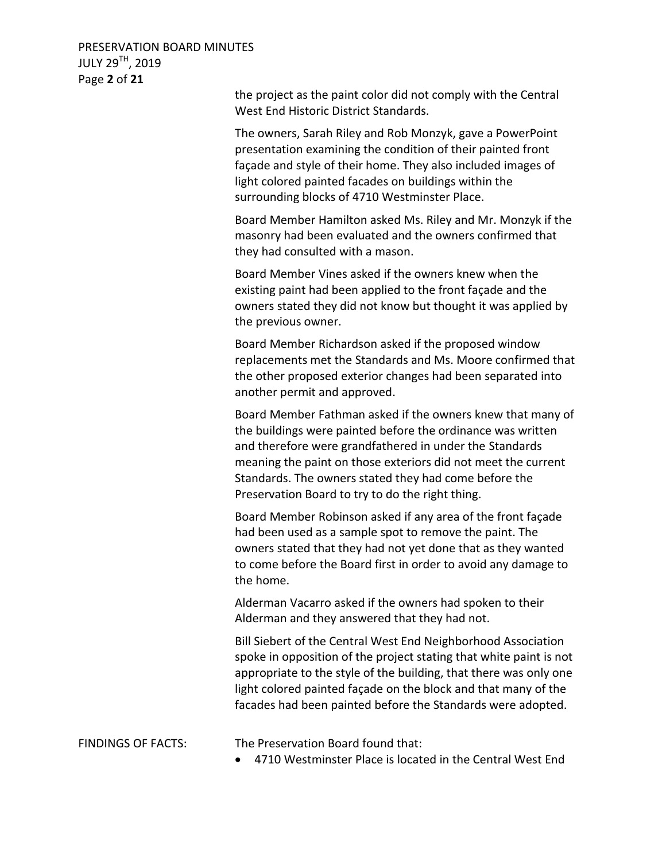PRESERVATION BOARD MINUTES JULY 29TH, 2019 Page **2** of **21**

> the project as the paint color did not comply with the Central West End Historic District Standards.

> The owners, Sarah Riley and Rob Monzyk, gave a PowerPoint presentation examining the condition of their painted front façade and style of their home. They also included images of light colored painted facades on buildings within the surrounding blocks of 4710 Westminster Place.

Board Member Hamilton asked Ms. Riley and Mr. Monzyk if the masonry had been evaluated and the owners confirmed that they had consulted with a mason.

Board Member Vines asked if the owners knew when the existing paint had been applied to the front façade and the owners stated they did not know but thought it was applied by the previous owner.

Board Member Richardson asked if the proposed window replacements met the Standards and Ms. Moore confirmed that the other proposed exterior changes had been separated into another permit and approved.

Board Member Fathman asked if the owners knew that many of the buildings were painted before the ordinance was written and therefore were grandfathered in under the Standards meaning the paint on those exteriors did not meet the current Standards. The owners stated they had come before the Preservation Board to try to do the right thing.

Board Member Robinson asked if any area of the front façade had been used as a sample spot to remove the paint. The owners stated that they had not yet done that as they wanted to come before the Board first in order to avoid any damage to the home.

Alderman Vacarro asked if the owners had spoken to their Alderman and they answered that they had not.

Bill Siebert of the Central West End Neighborhood Association spoke in opposition of the project stating that white paint is not appropriate to the style of the building, that there was only one light colored painted façade on the block and that many of the facades had been painted before the Standards were adopted.

FINDINGS OF FACTS: The Preservation Board found that:

4710 Westminster Place is located in the Central West End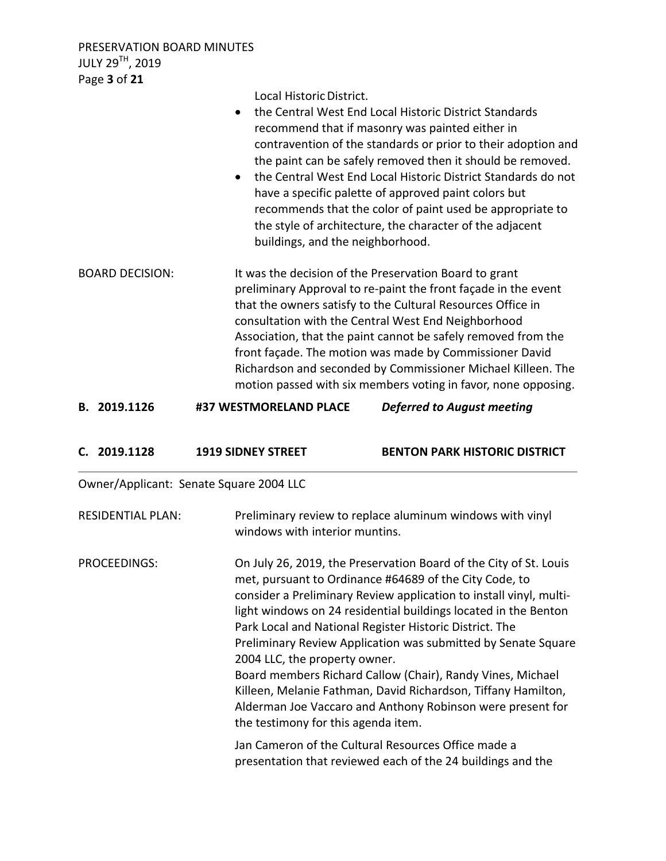PRESERVATION BOARD MINUTES JULY 29TH, 2019 Page **3** of **21**

Local Historic District. the Central West End Local Historic District Standards recommend that if masonry was painted either in contravention of the standards or prior to their adoption and the paint can be safely removed then it should be removed. the Central West End Local Historic District Standards do not have a specific palette of approved paint colors but recommends that the color of paint used be appropriate to the style of architecture, the character of the adjacent buildings, and the neighborhood. BOARD DECISION: It was the decision of the Preservation Board to grant preliminary Approval to re-paint the front façade in the event that the owners satisfy to the Cultural Resources Office in consultation with the Central West End Neighborhood Association, that the paint cannot be safely removed from the front façade. The motion was made by Commissioner David Richardson and seconded by Commissioner Michael Killeen. The motion passed with six members voting in favor, none opposing.

**B. 2019.1126 #37 WESTMORELAND PLACE** *Deferred to August meeting*

| C. 2019.1128 | <b>1919 SIDNEY STREET</b> | <b>BENTON PARK HISTORIC DISTRICT</b> |
|--------------|---------------------------|--------------------------------------|
|              |                           |                                      |

Owner/Applicant: Senate Square 2004 LLC

| <b>RESIDENTIAL PLAN:</b> | Preliminary review to replace aluminum windows with vinyl<br>windows with interior muntins.                                                                                                                                                                                                                                                                                                                                                                                                                                                                                                                                                                           |
|--------------------------|-----------------------------------------------------------------------------------------------------------------------------------------------------------------------------------------------------------------------------------------------------------------------------------------------------------------------------------------------------------------------------------------------------------------------------------------------------------------------------------------------------------------------------------------------------------------------------------------------------------------------------------------------------------------------|
| PROCEEDINGS:             | On July 26, 2019, the Preservation Board of the City of St. Louis<br>met, pursuant to Ordinance #64689 of the City Code, to<br>consider a Preliminary Review application to install vinyl, multi-<br>light windows on 24 residential buildings located in the Benton<br>Park Local and National Register Historic District. The<br>Preliminary Review Application was submitted by Senate Square<br>2004 LLC, the property owner.<br>Board members Richard Callow (Chair), Randy Vines, Michael<br>Killeen, Melanie Fathman, David Richardson, Tiffany Hamilton,<br>Alderman Joe Vaccaro and Anthony Robinson were present for<br>the testimony for this agenda item. |
|                          | Jan Cameron of the Cultural Resources Office made a<br>presentation that reviewed each of the 24 buildings and the                                                                                                                                                                                                                                                                                                                                                                                                                                                                                                                                                    |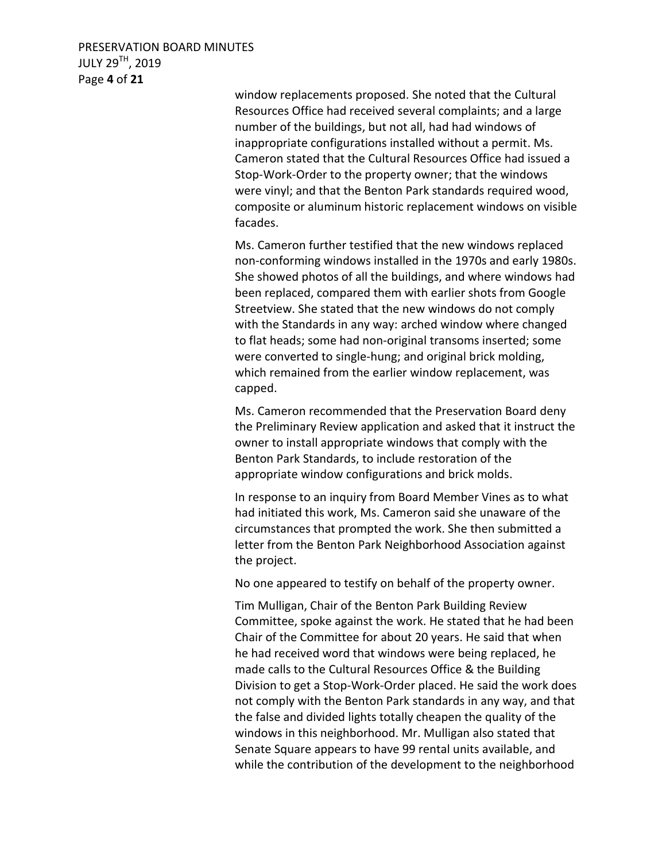## PRESERVATION BOARD MINUTES JULY 29TH, 2019 Page **4** of **21**

window replacements proposed. She noted that the Cultural Resources Office had received several complaints; and a large number of the buildings, but not all, had had windows of inappropriate configurations installed without a permit. Ms. Cameron stated that the Cultural Resources Office had issued a Stop-Work-Order to the property owner; that the windows were vinyl; and that the Benton Park standards required wood, composite or aluminum historic replacement windows on visible facades.

Ms. Cameron further testified that the new windows replaced non-conforming windows installed in the 1970s and early 1980s. She showed photos of all the buildings, and where windows had been replaced, compared them with earlier shots from Google Streetview. She stated that the new windows do not comply with the Standards in any way: arched window where changed to flat heads; some had non-original transoms inserted; some were converted to single-hung; and original brick molding, which remained from the earlier window replacement, was capped.

Ms. Cameron recommended that the Preservation Board deny the Preliminary Review application and asked that it instruct the owner to install appropriate windows that comply with the Benton Park Standards, to include restoration of the appropriate window configurations and brick molds.

In response to an inquiry from Board Member Vines as to what had initiated this work, Ms. Cameron said she unaware of the circumstances that prompted the work. She then submitted a letter from the Benton Park Neighborhood Association against the project.

No one appeared to testify on behalf of the property owner.

Tim Mulligan, Chair of the Benton Park Building Review Committee, spoke against the work. He stated that he had been Chair of the Committee for about 20 years. He said that when he had received word that windows were being replaced, he made calls to the Cultural Resources Office & the Building Division to get a Stop-Work-Order placed. He said the work does not comply with the Benton Park standards in any way, and that the false and divided lights totally cheapen the quality of the windows in this neighborhood. Mr. Mulligan also stated that Senate Square appears to have 99 rental units available, and while the contribution of the development to the neighborhood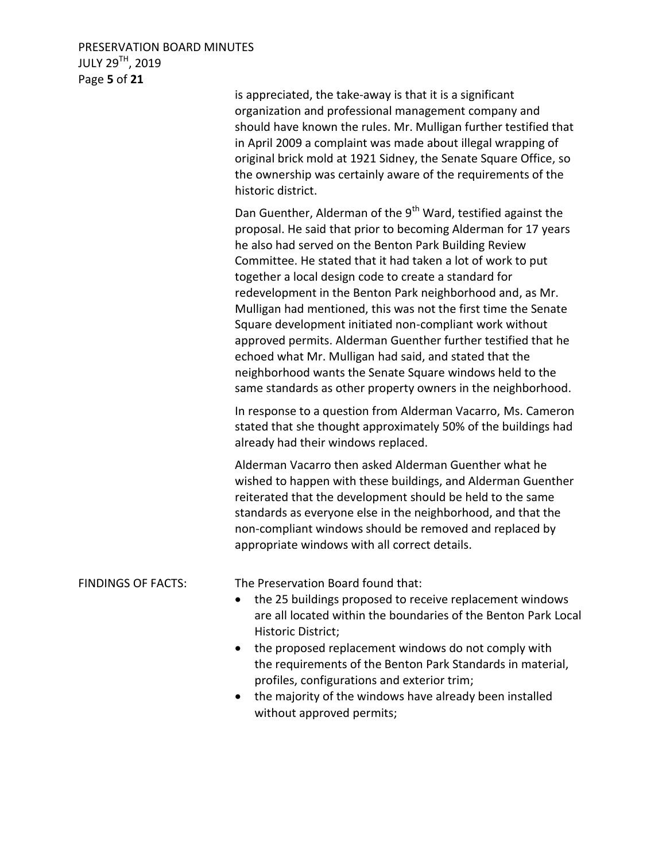| PRESERVATION BOARD MINUTES   |
|------------------------------|
| JULY 29 <sup>TH</sup> , 2019 |
| Page 5 of 21                 |

|                           | is appreciated, the take-away is that it is a significant<br>organization and professional management company and<br>should have known the rules. Mr. Mulligan further testified that<br>in April 2009 a complaint was made about illegal wrapping of<br>original brick mold at 1921 Sidney, the Senate Square Office, so<br>the ownership was certainly aware of the requirements of the<br>historic district.                                                                                                                                                                                                                                                                                                                                                               |
|---------------------------|-------------------------------------------------------------------------------------------------------------------------------------------------------------------------------------------------------------------------------------------------------------------------------------------------------------------------------------------------------------------------------------------------------------------------------------------------------------------------------------------------------------------------------------------------------------------------------------------------------------------------------------------------------------------------------------------------------------------------------------------------------------------------------|
|                           | Dan Guenther, Alderman of the 9 <sup>th</sup> Ward, testified against the<br>proposal. He said that prior to becoming Alderman for 17 years<br>he also had served on the Benton Park Building Review<br>Committee. He stated that it had taken a lot of work to put<br>together a local design code to create a standard for<br>redevelopment in the Benton Park neighborhood and, as Mr.<br>Mulligan had mentioned, this was not the first time the Senate<br>Square development initiated non-compliant work without<br>approved permits. Alderman Guenther further testified that he<br>echoed what Mr. Mulligan had said, and stated that the<br>neighborhood wants the Senate Square windows held to the<br>same standards as other property owners in the neighborhood. |
|                           | In response to a question from Alderman Vacarro, Ms. Cameron<br>stated that she thought approximately 50% of the buildings had<br>already had their windows replaced.                                                                                                                                                                                                                                                                                                                                                                                                                                                                                                                                                                                                         |
|                           | Alderman Vacarro then asked Alderman Guenther what he<br>wished to happen with these buildings, and Alderman Guenther<br>reiterated that the development should be held to the same<br>standards as everyone else in the neighborhood, and that the<br>non-compliant windows should be removed and replaced by<br>appropriate windows with all correct details.                                                                                                                                                                                                                                                                                                                                                                                                               |
| <b>FINDINGS OF FACTS:</b> | The Preservation Board found that:<br>the 25 buildings proposed to receive replacement windows<br>are all located within the boundaries of the Benton Park Local<br>Historic District;<br>the proposed replacement windows do not comply with<br>$\bullet$<br>the requirements of the Benton Park Standards in material,<br>profiles, configurations and exterior trim;                                                                                                                                                                                                                                                                                                                                                                                                       |
|                           | the majority of the windows have already been installed                                                                                                                                                                                                                                                                                                                                                                                                                                                                                                                                                                                                                                                                                                                       |

 the majority of the windows have already been installed without approved permits;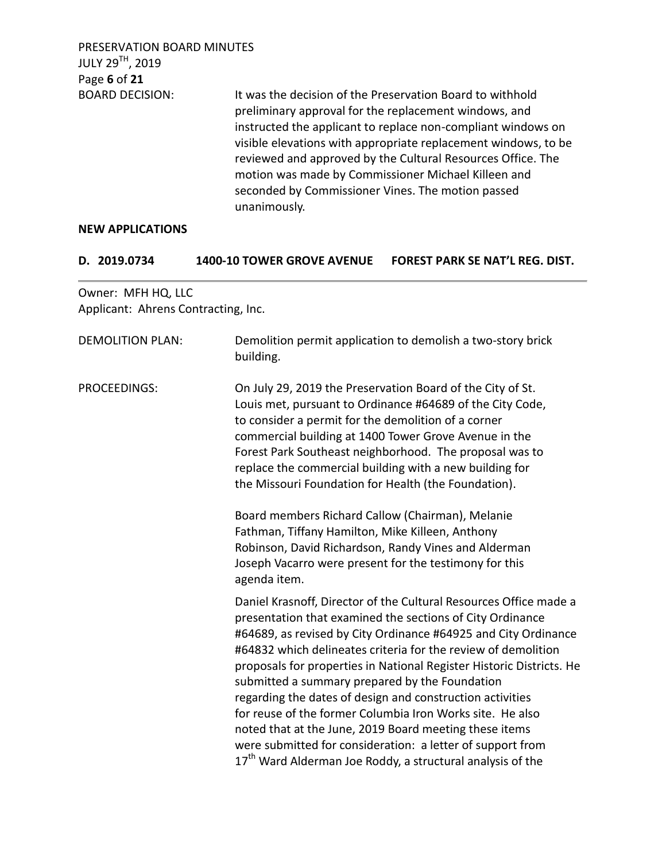PRESERVATION BOARD MINUTES JULY 29TH, 2019 Page **6** of **21** BOARD DECISION: It was the decision of the Preservation Board to withhold preliminary approval for the replacement windows, and instructed the applicant to replace non-compliant windows on visible elevations with appropriate replacement windows, to be reviewed and approved by the Cultural Resources Office. The motion was made by Commissioner Michael Killeen and seconded by Commissioner Vines. The motion passed unanimously.

#### **NEW APPLICATIONS**

| D. 2019.0734 | 1400-10 TOWER GROVE AVENUE FOREST PARK SE NAT'L REG. DIST. |
|--------------|------------------------------------------------------------|
|              |                                                            |

Owner: MFH HQ, LLC Applicant: Ahrens Contracting, Inc.

| <b>DEMOLITION PLAN:</b> | Demolition permit application to demolish a two-story brick<br>building.                                                                                                                                                                                                                                                                                                                                                                                                                                                                                                                                                                                                                                                |
|-------------------------|-------------------------------------------------------------------------------------------------------------------------------------------------------------------------------------------------------------------------------------------------------------------------------------------------------------------------------------------------------------------------------------------------------------------------------------------------------------------------------------------------------------------------------------------------------------------------------------------------------------------------------------------------------------------------------------------------------------------------|
| <b>PROCEEDINGS:</b>     | On July 29, 2019 the Preservation Board of the City of St.<br>Louis met, pursuant to Ordinance #64689 of the City Code,<br>to consider a permit for the demolition of a corner<br>commercial building at 1400 Tower Grove Avenue in the<br>Forest Park Southeast neighborhood. The proposal was to<br>replace the commercial building with a new building for<br>the Missouri Foundation for Health (the Foundation).<br>Board members Richard Callow (Chairman), Melanie<br>Fathman, Tiffany Hamilton, Mike Killeen, Anthony<br>Robinson, David Richardson, Randy Vines and Alderman<br>Joseph Vacarro were present for the testimony for this<br>agenda item.                                                         |
|                         | Daniel Krasnoff, Director of the Cultural Resources Office made a<br>presentation that examined the sections of City Ordinance<br>#64689, as revised by City Ordinance #64925 and City Ordinance<br>#64832 which delineates criteria for the review of demolition<br>proposals for properties in National Register Historic Districts. He<br>submitted a summary prepared by the Foundation<br>regarding the dates of design and construction activities<br>for reuse of the former Columbia Iron Works site. He also<br>noted that at the June, 2019 Board meeting these items<br>were submitted for consideration: a letter of support from<br>17 <sup>th</sup> Ward Alderman Joe Roddy, a structural analysis of the |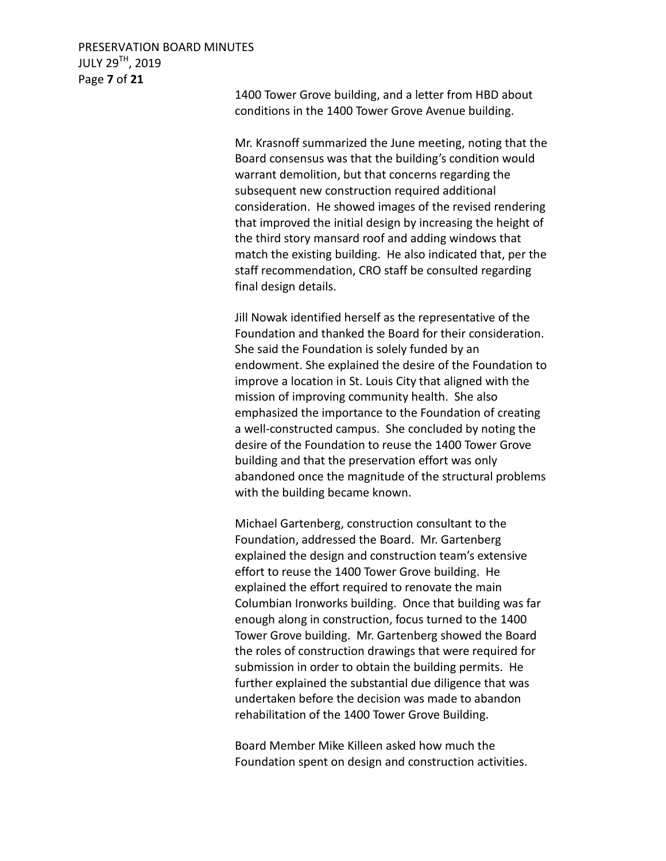### PRESERVATION BOARD MINUTES JULY 29TH, 2019 Page **7** of **21**

1400 Tower Grove building, and a letter from HBD about conditions in the 1400 Tower Grove Avenue building.

Mr. Krasnoff summarized the June meeting, noting that the Board consensus was that the building's condition would warrant demolition, but that concerns regarding the subsequent new construction required additional consideration. He showed images of the revised rendering that improved the initial design by increasing the height of the third story mansard roof and adding windows that match the existing building. He also indicated that, per the staff recommendation, CRO staff be consulted regarding final design details.

Jill Nowak identified herself as the representative of the Foundation and thanked the Board for their consideration. She said the Foundation is solely funded by an endowment. She explained the desire of the Foundation to improve a location in St. Louis City that aligned with the mission of improving community health. She also emphasized the importance to the Foundation of creating a well-constructed campus. She concluded by noting the desire of the Foundation to reuse the 1400 Tower Grove building and that the preservation effort was only abandoned once the magnitude of the structural problems with the building became known.

Michael Gartenberg, construction consultant to the Foundation, addressed the Board. Mr. Gartenberg explained the design and construction team's extensive effort to reuse the 1400 Tower Grove building. He explained the effort required to renovate the main Columbian Ironworks building. Once that building was far enough along in construction, focus turned to the 1400 Tower Grove building. Mr. Gartenberg showed the Board the roles of construction drawings that were required for submission in order to obtain the building permits. He further explained the substantial due diligence that was undertaken before the decision was made to abandon rehabilitation of the 1400 Tower Grove Building.

Board Member Mike Killeen asked how much the Foundation spent on design and construction activities.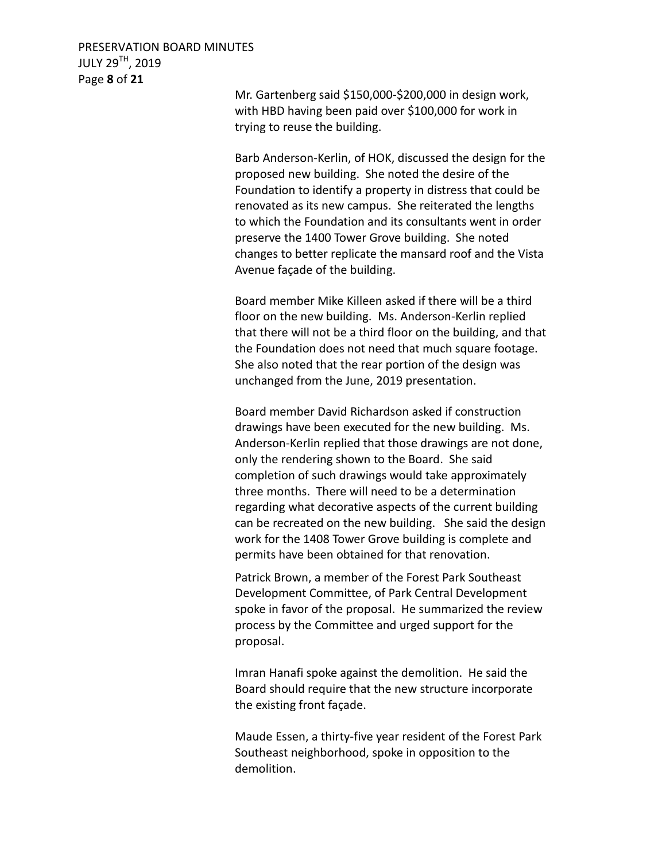## PRESERVATION BOARD MINUTES JULY 29TH, 2019 Page **8** of **21**

Mr. Gartenberg said \$150,000-\$200,000 in design work, with HBD having been paid over \$100,000 for work in trying to reuse the building.

Barb Anderson-Kerlin, of HOK, discussed the design for the proposed new building. She noted the desire of the Foundation to identify a property in distress that could be renovated as its new campus. She reiterated the lengths to which the Foundation and its consultants went in order preserve the 1400 Tower Grove building. She noted changes to better replicate the mansard roof and the Vista Avenue façade of the building.

Board member Mike Killeen asked if there will be a third floor on the new building. Ms. Anderson-Kerlin replied that there will not be a third floor on the building, and that the Foundation does not need that much square footage. She also noted that the rear portion of the design was unchanged from the June, 2019 presentation.

Board member David Richardson asked if construction drawings have been executed for the new building. Ms. Anderson-Kerlin replied that those drawings are not done, only the rendering shown to the Board. She said completion of such drawings would take approximately three months. There will need to be a determination regarding what decorative aspects of the current building can be recreated on the new building. She said the design work for the 1408 Tower Grove building is complete and permits have been obtained for that renovation.

Patrick Brown, a member of the Forest Park Southeast Development Committee, of Park Central Development spoke in favor of the proposal. He summarized the review process by the Committee and urged support for the proposal.

Imran Hanafi spoke against the demolition. He said the Board should require that the new structure incorporate the existing front façade.

Maude Essen, a thirty-five year resident of the Forest Park Southeast neighborhood, spoke in opposition to the demolition.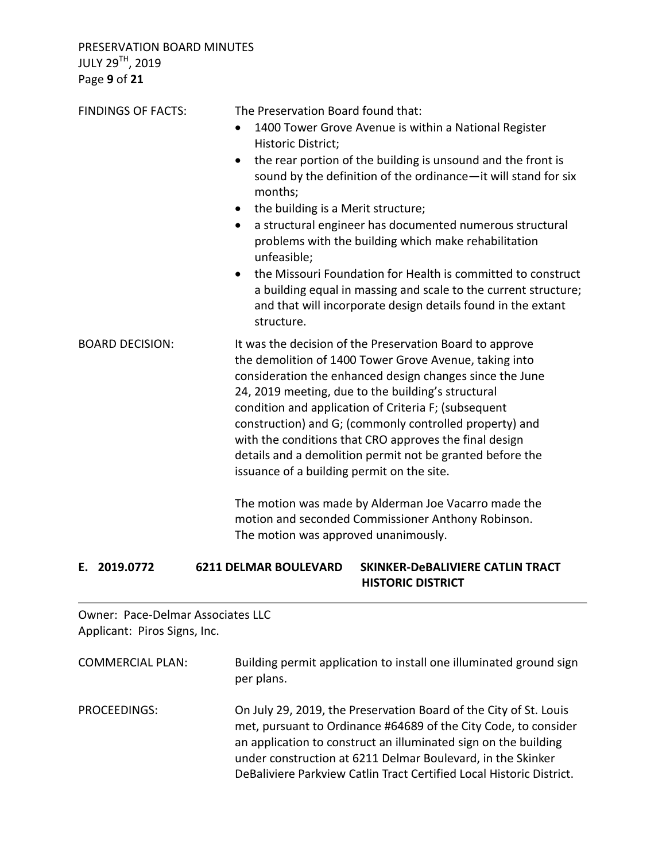PRESERVATION BOARD MINUTES JULY 29TH, 2019 Page **9** of **21**

| <b>FINDINGS OF FACTS:</b> | The Preservation Board found that:<br>1400 Tower Grove Avenue is within a National Register<br>Historic District;<br>the rear portion of the building is unsound and the front is<br>$\bullet$<br>sound by the definition of the ordinance-it will stand for six<br>months;<br>the building is a Merit structure;<br>$\bullet$<br>a structural engineer has documented numerous structural<br>$\bullet$<br>problems with the building which make rehabilitation<br>unfeasible;<br>the Missouri Foundation for Health is committed to construct<br>a building equal in massing and scale to the current structure;<br>and that will incorporate design details found in the extant<br>structure. |
|---------------------------|-------------------------------------------------------------------------------------------------------------------------------------------------------------------------------------------------------------------------------------------------------------------------------------------------------------------------------------------------------------------------------------------------------------------------------------------------------------------------------------------------------------------------------------------------------------------------------------------------------------------------------------------------------------------------------------------------|
| <b>BOARD DECISION:</b>    | It was the decision of the Preservation Board to approve<br>the demolition of 1400 Tower Grove Avenue, taking into<br>consideration the enhanced design changes since the June<br>24, 2019 meeting, due to the building's structural<br>condition and application of Criteria F; (subsequent<br>construction) and G; (commonly controlled property) and<br>with the conditions that CRO approves the final design<br>details and a demolition permit not be granted before the<br>issuance of a building permit on the site.<br>The motion was made by Alderman Joe Vacarro made the<br>motion and seconded Commissioner Anthony Robinson.<br>The motion was approved unanimously.              |

## **E. 2019.0772 6211 DELMAR BOULEVARD SKINKER-DeBALIVIERE CATLIN TRACT HISTORIC DISTRICT**

Owner: Pace-Delmar Associates LLC Applicant: Piros Signs, Inc.

COMMERCIAL PLAN: Building permit application to install one illuminated ground sign per plans.

PROCEEDINGS: On July 29, 2019, the Preservation Board of the City of St. Louis met, pursuant to Ordinance #64689 of the City Code, to consider an application to construct an illuminated sign on the building under construction at 6211 Delmar Boulevard, in the Skinker DeBaliviere Parkview Catlin Tract Certified Local Historic District.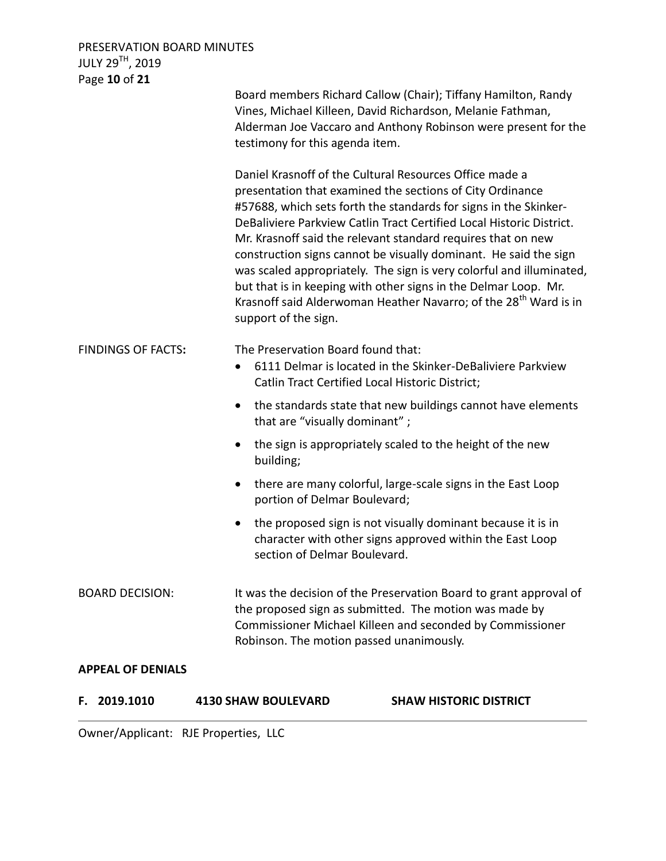## PRESERVATION BOARD MINUTES JULY 29 $^{\textsf{TH}}$ , 2019 Page **10** of **21**

| $195C$ <b>TO</b> $O1$ <b>FT</b> | testimony for this agenda item.<br>support of the sign.                                                                                                                                                           | Board members Richard Callow (Chair); Tiffany Hamilton, Randy<br>Vines, Michael Killeen, David Richardson, Melanie Fathman,<br>Alderman Joe Vaccaro and Anthony Robinson were present for the<br>Daniel Krasnoff of the Cultural Resources Office made a<br>presentation that examined the sections of City Ordinance<br>#57688, which sets forth the standards for signs in the Skinker-<br>DeBaliviere Parkview Catlin Tract Certified Local Historic District.<br>Mr. Krasnoff said the relevant standard requires that on new<br>construction signs cannot be visually dominant. He said the sign<br>was scaled appropriately. The sign is very colorful and illuminated,<br>but that is in keeping with other signs in the Delmar Loop. Mr.<br>Krasnoff said Alderwoman Heather Navarro; of the 28 <sup>th</sup> Ward is in |
|---------------------------------|-------------------------------------------------------------------------------------------------------------------------------------------------------------------------------------------------------------------|----------------------------------------------------------------------------------------------------------------------------------------------------------------------------------------------------------------------------------------------------------------------------------------------------------------------------------------------------------------------------------------------------------------------------------------------------------------------------------------------------------------------------------------------------------------------------------------------------------------------------------------------------------------------------------------------------------------------------------------------------------------------------------------------------------------------------------|
| <b>FINDINGS OF FACTS:</b>       | The Preservation Board found that:<br>$\bullet$<br>$\bullet$<br>that are "visually dominant";<br>$\bullet$<br>building;<br>$\bullet$<br>portion of Delmar Boulevard;<br>$\bullet$<br>section of Delmar Boulevard. | 6111 Delmar is located in the Skinker-DeBaliviere Parkview<br>Catlin Tract Certified Local Historic District;<br>the standards state that new buildings cannot have elements<br>the sign is appropriately scaled to the height of the new<br>there are many colorful, large-scale signs in the East Loop<br>the proposed sign is not visually dominant because it is in<br>character with other signs approved within the East Loop                                                                                                                                                                                                                                                                                                                                                                                              |
| <b>BOARD DECISION:</b>          |                                                                                                                                                                                                                   | It was the decision of the Preservation Board to grant approval of<br>the proposed sign as submitted. The motion was made by<br>Commissioner Michael Killeen and seconded by Commissioner<br>Robinson. The motion passed unanimously.                                                                                                                                                                                                                                                                                                                                                                                                                                                                                                                                                                                            |
| <b>APPEAL OF DENIALS</b>        |                                                                                                                                                                                                                   |                                                                                                                                                                                                                                                                                                                                                                                                                                                                                                                                                                                                                                                                                                                                                                                                                                  |
| 2019.1010<br>F.                 | <b>4130 SHAW BOULEVARD</b>                                                                                                                                                                                        | <b>SHAW HISTORIC DISTRICT</b>                                                                                                                                                                                                                                                                                                                                                                                                                                                                                                                                                                                                                                                                                                                                                                                                    |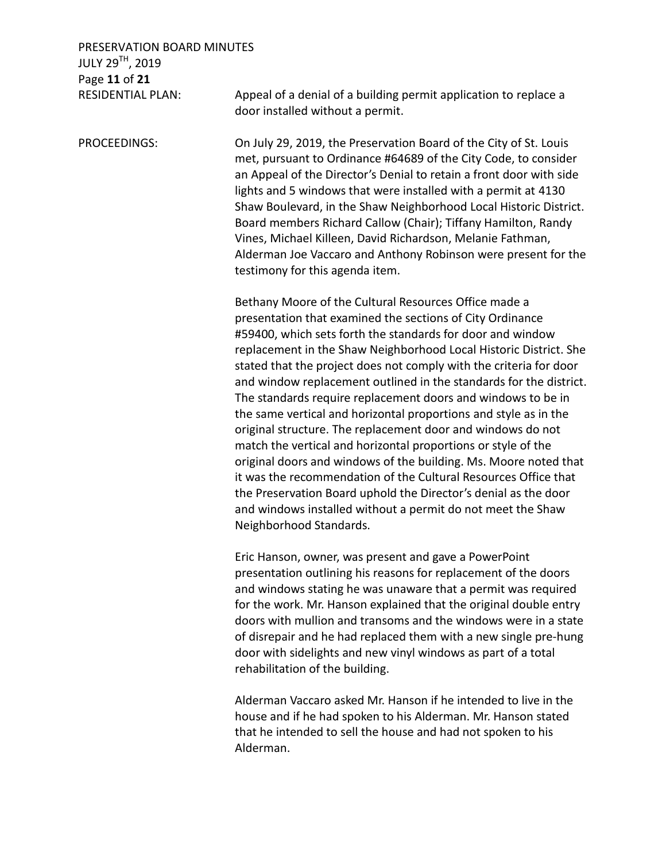PRESERVATION BOARD MINUTES JULY 29TH, 2019 Page **11** of **21**

RESIDENTIAL PLAN: Appeal of a denial of a building permit application to replace a door installed without a permit.

PROCEEDINGS: On July 29, 2019, the Preservation Board of the City of St. Louis met, pursuant to Ordinance #64689 of the City Code, to consider an Appeal of the Director's Denial to retain a front door with side lights and 5 windows that were installed with a permit at 4130 Shaw Boulevard, in the Shaw Neighborhood Local Historic District. Board members Richard Callow (Chair); Tiffany Hamilton, Randy Vines, Michael Killeen, David Richardson, Melanie Fathman, Alderman Joe Vaccaro and Anthony Robinson were present for the testimony for this agenda item.

> Bethany Moore of the Cultural Resources Office made a presentation that examined the sections of City Ordinance #59400, which sets forth the standards for door and window replacement in the Shaw Neighborhood Local Historic District. She stated that the project does not comply with the criteria for door and window replacement outlined in the standards for the district. The standards require replacement doors and windows to be in the same vertical and horizontal proportions and style as in the original structure. The replacement door and windows do not match the vertical and horizontal proportions or style of the original doors and windows of the building. Ms. Moore noted that it was the recommendation of the Cultural Resources Office that the Preservation Board uphold the Director's denial as the door and windows installed without a permit do not meet the Shaw Neighborhood Standards.

> Eric Hanson, owner, was present and gave a PowerPoint presentation outlining his reasons for replacement of the doors and windows stating he was unaware that a permit was required for the work. Mr. Hanson explained that the original double entry doors with mullion and transoms and the windows were in a state of disrepair and he had replaced them with a new single pre-hung door with sidelights and new vinyl windows as part of a total rehabilitation of the building.

Alderman Vaccaro asked Mr. Hanson if he intended to live in the house and if he had spoken to his Alderman. Mr. Hanson stated that he intended to sell the house and had not spoken to his Alderman.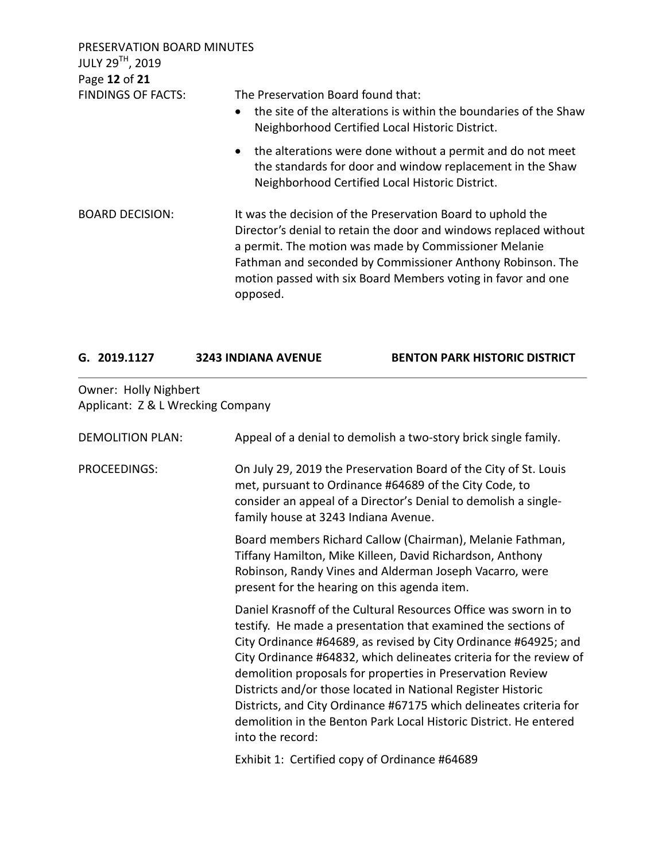| PRESERVATION BOARD MINUTES<br>JULY 29TH, 2019<br>Page 12 of 21 |                                                                                                                                                                                                                                                                                                                                     |  |
|----------------------------------------------------------------|-------------------------------------------------------------------------------------------------------------------------------------------------------------------------------------------------------------------------------------------------------------------------------------------------------------------------------------|--|
| <b>FINDINGS OF FACTS:</b>                                      | The Preservation Board found that:<br>the site of the alterations is within the boundaries of the Shaw<br>$\bullet$<br>Neighborhood Certified Local Historic District.                                                                                                                                                              |  |
|                                                                | • the alterations were done without a permit and do not meet<br>the standards for door and window replacement in the Shaw<br>Neighborhood Certified Local Historic District.                                                                                                                                                        |  |
| <b>BOARD DECISION:</b>                                         | It was the decision of the Preservation Board to uphold the<br>Director's denial to retain the door and windows replaced without<br>a permit. The motion was made by Commissioner Melanie<br>Fathman and seconded by Commissioner Anthony Robinson. The<br>motion passed with six Board Members voting in favor and one<br>opposed. |  |

| G. 2019.1127 | <b>3243 INDIANA AVENUE</b> | <b>BENTON PARK HISTORIC DISTRICT</b> |
|--------------|----------------------------|--------------------------------------|
|              |                            |                                      |

# Owner: Holly Nighbert Applicant: Z & L Wrecking Company

| <b>DEMOLITION PLAN:</b> | Appeal of a denial to demolish a two-story brick single family.                                                                                                                                                                                                                                                                                                                                                                                                                                                                                                         |
|-------------------------|-------------------------------------------------------------------------------------------------------------------------------------------------------------------------------------------------------------------------------------------------------------------------------------------------------------------------------------------------------------------------------------------------------------------------------------------------------------------------------------------------------------------------------------------------------------------------|
| PROCEEDINGS:            | On July 29, 2019 the Preservation Board of the City of St. Louis<br>met, pursuant to Ordinance #64689 of the City Code, to<br>consider an appeal of a Director's Denial to demolish a single-<br>family house at 3243 Indiana Avenue.                                                                                                                                                                                                                                                                                                                                   |
|                         | Board members Richard Callow (Chairman), Melanie Fathman,<br>Tiffany Hamilton, Mike Killeen, David Richardson, Anthony<br>Robinson, Randy Vines and Alderman Joseph Vacarro, were<br>present for the hearing on this agenda item.                                                                                                                                                                                                                                                                                                                                       |
|                         | Daniel Krasnoff of the Cultural Resources Office was sworn in to<br>testify. He made a presentation that examined the sections of<br>City Ordinance #64689, as revised by City Ordinance #64925; and<br>City Ordinance #64832, which delineates criteria for the review of<br>demolition proposals for properties in Preservation Review<br>Districts and/or those located in National Register Historic<br>Districts, and City Ordinance #67175 which delineates criteria for<br>demolition in the Benton Park Local Historic District. He entered<br>into the record: |
|                         | Exhibit 1: Certified copy of Ordinance #64689                                                                                                                                                                                                                                                                                                                                                                                                                                                                                                                           |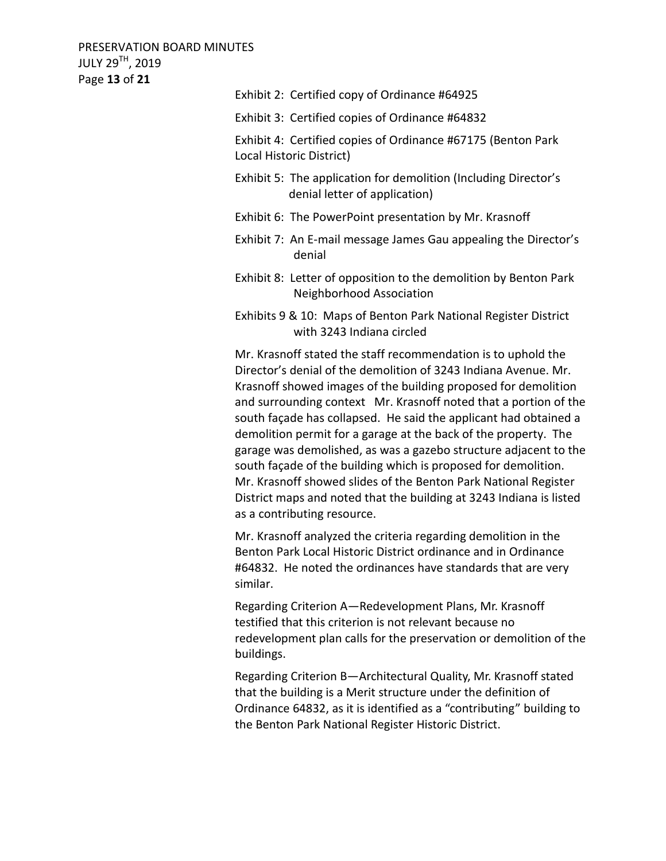PRESERVATION BOARD MINUTES JULY 29TH, 2019 Page **13** of **21**

> Exhibit 2: Certified copy of Ordinance #64925 Exhibit 3: Certified copies of Ordinance #64832 Exhibit 4: Certified copies of Ordinance #67175 (Benton Park Local Historic District) Exhibit 5: The application for demolition (Including Director's denial letter of application) Exhibit 6: The PowerPoint presentation by Mr. Krasnoff Exhibit 7: An E-mail message James Gau appealing the Director's denial Exhibit 8: Letter of opposition to the demolition by Benton Park Neighborhood Association Exhibits 9 & 10: Maps of Benton Park National Register District with 3243 Indiana circled Mr. Krasnoff stated the staff recommendation is to uphold the Director's denial of the demolition of 3243 Indiana Avenue. Mr. Krasnoff showed images of the building proposed for demolition and surrounding context Mr. Krasnoff noted that a portion of the south façade has collapsed. He said the applicant had obtained a demolition permit for a garage at the back of the property. The garage was demolished, as was a gazebo structure adjacent to the south façade of the building which is proposed for demolition. Mr. Krasnoff showed slides of the Benton Park National Register District maps and noted that the building at 3243 Indiana is listed as a contributing resource.

Mr. Krasnoff analyzed the criteria regarding demolition in the Benton Park Local Historic District ordinance and in Ordinance #64832. He noted the ordinances have standards that are very similar.

Regarding Criterion A—Redevelopment Plans, Mr. Krasnoff testified that this criterion is not relevant because no redevelopment plan calls for the preservation or demolition of the buildings.

Regarding Criterion B—Architectural Quality, Mr. Krasnoff stated that the building is a Merit structure under the definition of Ordinance 64832, as it is identified as a "contributing" building to the Benton Park National Register Historic District.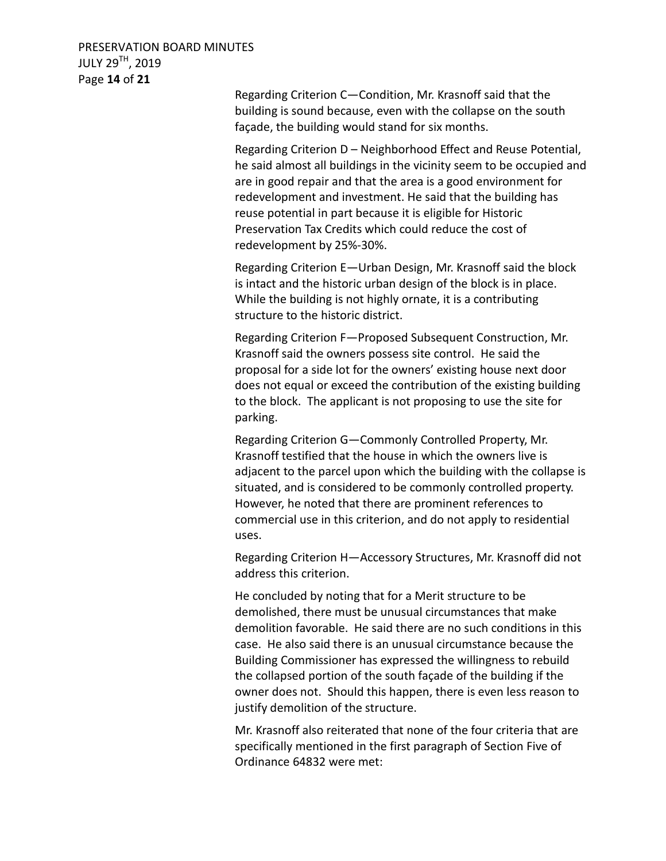Regarding Criterion C—Condition, Mr. Krasnoff said that the building is sound because, even with the collapse on the south façade, the building would stand for six months.

Regarding Criterion D – Neighborhood Effect and Reuse Potential, he said almost all buildings in the vicinity seem to be occupied and are in good repair and that the area is a good environment for redevelopment and investment. He said that the building has reuse potential in part because it is eligible for Historic Preservation Tax Credits which could reduce the cost of redevelopment by 25%-30%.

Regarding Criterion E—Urban Design, Mr. Krasnoff said the block is intact and the historic urban design of the block is in place. While the building is not highly ornate, it is a contributing structure to the historic district.

Regarding Criterion F—Proposed Subsequent Construction, Mr. Krasnoff said the owners possess site control. He said the proposal for a side lot for the owners' existing house next door does not equal or exceed the contribution of the existing building to the block. The applicant is not proposing to use the site for parking.

Regarding Criterion G—Commonly Controlled Property, Mr. Krasnoff testified that the house in which the owners live is adjacent to the parcel upon which the building with the collapse is situated, and is considered to be commonly controlled property. However, he noted that there are prominent references to commercial use in this criterion, and do not apply to residential uses.

Regarding Criterion H—Accessory Structures, Mr. Krasnoff did not address this criterion.

He concluded by noting that for a Merit structure to be demolished, there must be unusual circumstances that make demolition favorable. He said there are no such conditions in this case. He also said there is an unusual circumstance because the Building Commissioner has expressed the willingness to rebuild the collapsed portion of the south façade of the building if the owner does not. Should this happen, there is even less reason to justify demolition of the structure.

Mr. Krasnoff also reiterated that none of the four criteria that are specifically mentioned in the first paragraph of Section Five of Ordinance 64832 were met: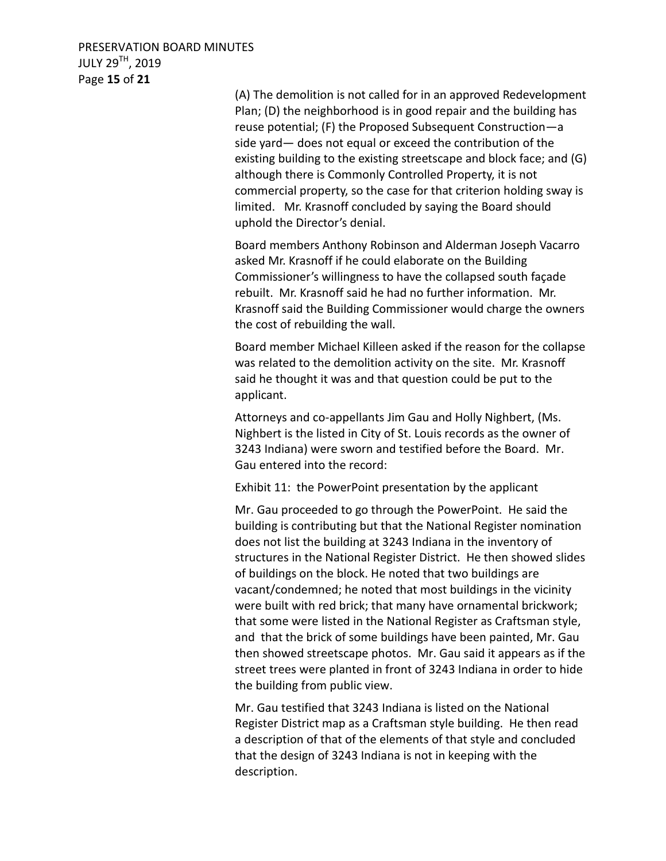## PRESERVATION BOARD MINUTES JULY 29TH, 2019 Page **15** of **21**

(A) The demolition is not called for in an approved Redevelopment Plan; (D) the neighborhood is in good repair and the building has reuse potential; (F) the Proposed Subsequent Construction—a side yard— does not equal or exceed the contribution of the existing building to the existing streetscape and block face; and (G) although there is Commonly Controlled Property, it is not commercial property, so the case for that criterion holding sway is limited. Mr. Krasnoff concluded by saying the Board should uphold the Director's denial.

Board members Anthony Robinson and Alderman Joseph Vacarro asked Mr. Krasnoff if he could elaborate on the Building Commissioner's willingness to have the collapsed south façade rebuilt. Mr. Krasnoff said he had no further information. Mr. Krasnoff said the Building Commissioner would charge the owners the cost of rebuilding the wall.

Board member Michael Killeen asked if the reason for the collapse was related to the demolition activity on the site. Mr. Krasnoff said he thought it was and that question could be put to the applicant.

Attorneys and co-appellants Jim Gau and Holly Nighbert, (Ms. Nighbert is the listed in City of St. Louis records as the owner of 3243 Indiana) were sworn and testified before the Board. Mr. Gau entered into the record:

Exhibit 11: the PowerPoint presentation by the applicant

Mr. Gau proceeded to go through the PowerPoint. He said the building is contributing but that the National Register nomination does not list the building at 3243 Indiana in the inventory of structures in the National Register District. He then showed slides of buildings on the block. He noted that two buildings are vacant/condemned; he noted that most buildings in the vicinity were built with red brick; that many have ornamental brickwork; that some were listed in the National Register as Craftsman style, and that the brick of some buildings have been painted, Mr. Gau then showed streetscape photos. Mr. Gau said it appears as if the street trees were planted in front of 3243 Indiana in order to hide the building from public view.

Mr. Gau testified that 3243 Indiana is listed on the National Register District map as a Craftsman style building. He then read a description of that of the elements of that style and concluded that the design of 3243 Indiana is not in keeping with the description.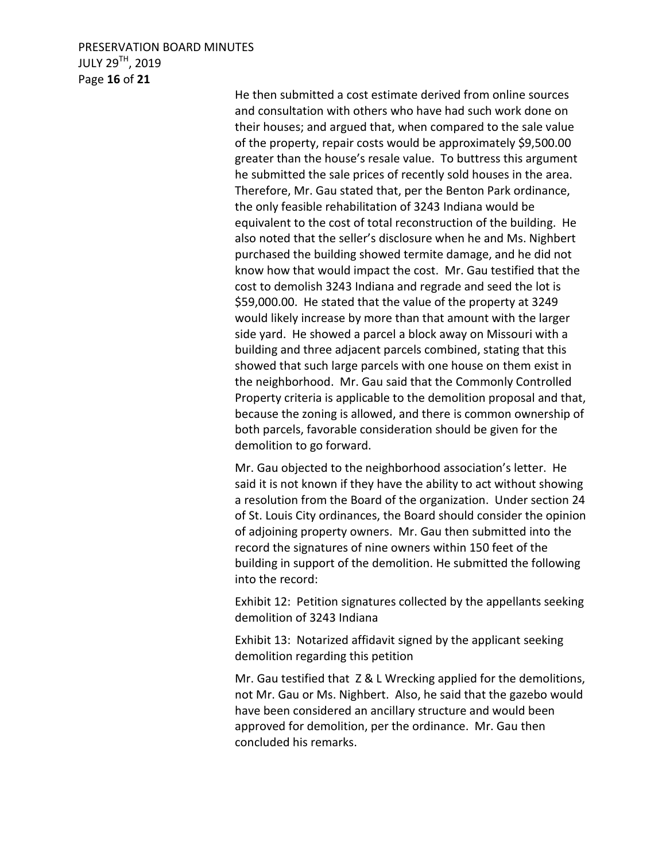#### PRESERVATION BOARD MINUTES JULY 29TH, 2019 Page **16** of **21**

He then submitted a cost estimate derived from online sources and consultation with others who have had such work done on their houses; and argued that, when compared to the sale value of the property, repair costs would be approximately \$9,500.00 greater than the house's resale value. To buttress this argument he submitted the sale prices of recently sold houses in the area. Therefore, Mr. Gau stated that, per the Benton Park ordinance, the only feasible rehabilitation of 3243 Indiana would be equivalent to the cost of total reconstruction of the building. He also noted that the seller's disclosure when he and Ms. Nighbert purchased the building showed termite damage, and he did not know how that would impact the cost. Mr. Gau testified that the cost to demolish 3243 Indiana and regrade and seed the lot is \$59,000.00. He stated that the value of the property at 3249 would likely increase by more than that amount with the larger side yard. He showed a parcel a block away on Missouri with a building and three adjacent parcels combined, stating that this showed that such large parcels with one house on them exist in the neighborhood. Mr. Gau said that the Commonly Controlled Property criteria is applicable to the demolition proposal and that, because the zoning is allowed, and there is common ownership of both parcels, favorable consideration should be given for the demolition to go forward.

Mr. Gau objected to the neighborhood association's letter. He said it is not known if they have the ability to act without showing a resolution from the Board of the organization. Under section 24 of St. Louis City ordinances, the Board should consider the opinion of adjoining property owners. Mr. Gau then submitted into the record the signatures of nine owners within 150 feet of the building in support of the demolition. He submitted the following into the record:

Exhibit 12: Petition signatures collected by the appellants seeking demolition of 3243 Indiana

Exhibit 13: Notarized affidavit signed by the applicant seeking demolition regarding this petition

Mr. Gau testified that Z & L Wrecking applied for the demolitions, not Mr. Gau or Ms. Nighbert. Also, he said that the gazebo would have been considered an ancillary structure and would been approved for demolition, per the ordinance. Mr. Gau then concluded his remarks.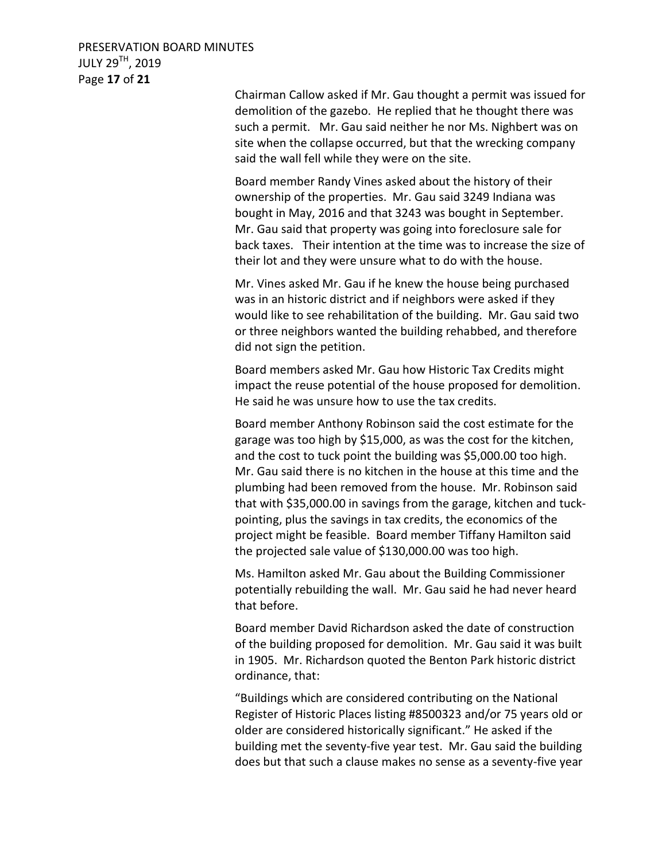Chairman Callow asked if Mr. Gau thought a permit was issued for demolition of the gazebo. He replied that he thought there was such a permit. Mr. Gau said neither he nor Ms. Nighbert was on site when the collapse occurred, but that the wrecking company said the wall fell while they were on the site.

Board member Randy Vines asked about the history of their ownership of the properties. Mr. Gau said 3249 Indiana was bought in May, 2016 and that 3243 was bought in September. Mr. Gau said that property was going into foreclosure sale for back taxes. Their intention at the time was to increase the size of their lot and they were unsure what to do with the house.

Mr. Vines asked Mr. Gau if he knew the house being purchased was in an historic district and if neighbors were asked if they would like to see rehabilitation of the building. Mr. Gau said two or three neighbors wanted the building rehabbed, and therefore did not sign the petition.

Board members asked Mr. Gau how Historic Tax Credits might impact the reuse potential of the house proposed for demolition. He said he was unsure how to use the tax credits.

Board member Anthony Robinson said the cost estimate for the garage was too high by \$15,000, as was the cost for the kitchen, and the cost to tuck point the building was \$5,000.00 too high. Mr. Gau said there is no kitchen in the house at this time and the plumbing had been removed from the house. Mr. Robinson said that with \$35,000.00 in savings from the garage, kitchen and tuckpointing, plus the savings in tax credits, the economics of the project might be feasible. Board member Tiffany Hamilton said the projected sale value of \$130,000.00 was too high.

Ms. Hamilton asked Mr. Gau about the Building Commissioner potentially rebuilding the wall. Mr. Gau said he had never heard that before.

Board member David Richardson asked the date of construction of the building proposed for demolition. Mr. Gau said it was built in 1905. Mr. Richardson quoted the Benton Park historic district ordinance, that:

"Buildings which are considered contributing on the National Register of Historic Places listing #8500323 and/or 75 years old or older are considered historically significant." He asked if the building met the seventy-five year test. Mr. Gau said the building does but that such a clause makes no sense as a seventy-five year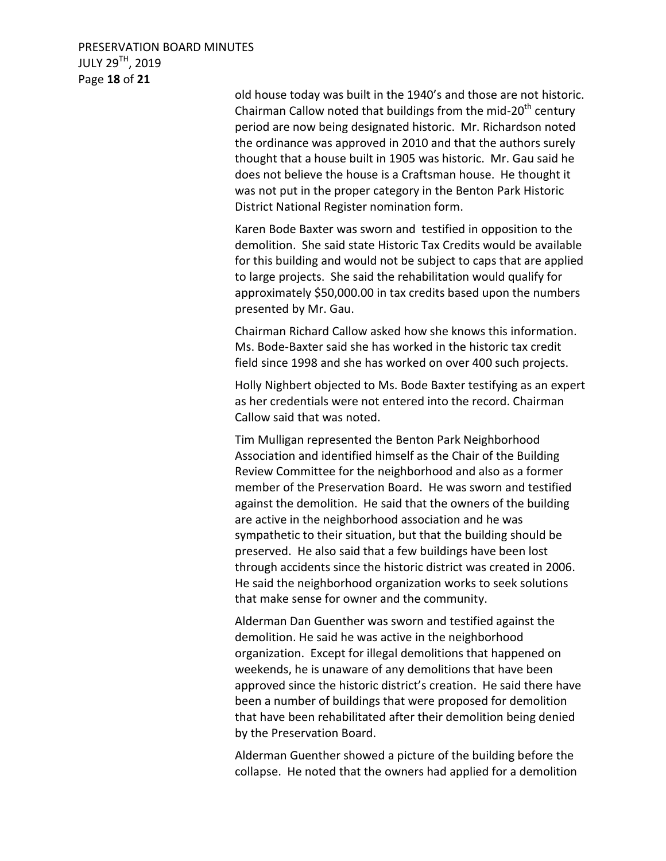PRESERVATION BOARD MINUTES JULY 29TH, 2019 Page **18** of **21**

> old house today was built in the 1940's and those are not historic. Chairman Callow noted that buildings from the mid-20<sup>th</sup> century period are now being designated historic. Mr. Richardson noted the ordinance was approved in 2010 and that the authors surely thought that a house built in 1905 was historic. Mr. Gau said he does not believe the house is a Craftsman house. He thought it was not put in the proper category in the Benton Park Historic District National Register nomination form.

> Karen Bode Baxter was sworn and testified in opposition to the demolition. She said state Historic Tax Credits would be available for this building and would not be subject to caps that are applied to large projects. She said the rehabilitation would qualify for approximately \$50,000.00 in tax credits based upon the numbers presented by Mr. Gau.

Chairman Richard Callow asked how she knows this information. Ms. Bode-Baxter said she has worked in the historic tax credit field since 1998 and she has worked on over 400 such projects.

Holly Nighbert objected to Ms. Bode Baxter testifying as an expert as her credentials were not entered into the record. Chairman Callow said that was noted.

Tim Mulligan represented the Benton Park Neighborhood Association and identified himself as the Chair of the Building Review Committee for the neighborhood and also as a former member of the Preservation Board. He was sworn and testified against the demolition. He said that the owners of the building are active in the neighborhood association and he was sympathetic to their situation, but that the building should be preserved. He also said that a few buildings have been lost through accidents since the historic district was created in 2006. He said the neighborhood organization works to seek solutions that make sense for owner and the community.

Alderman Dan Guenther was sworn and testified against the demolition. He said he was active in the neighborhood organization. Except for illegal demolitions that happened on weekends, he is unaware of any demolitions that have been approved since the historic district's creation. He said there have been a number of buildings that were proposed for demolition that have been rehabilitated after their demolition being denied by the Preservation Board.

Alderman Guenther showed a picture of the building before the collapse. He noted that the owners had applied for a demolition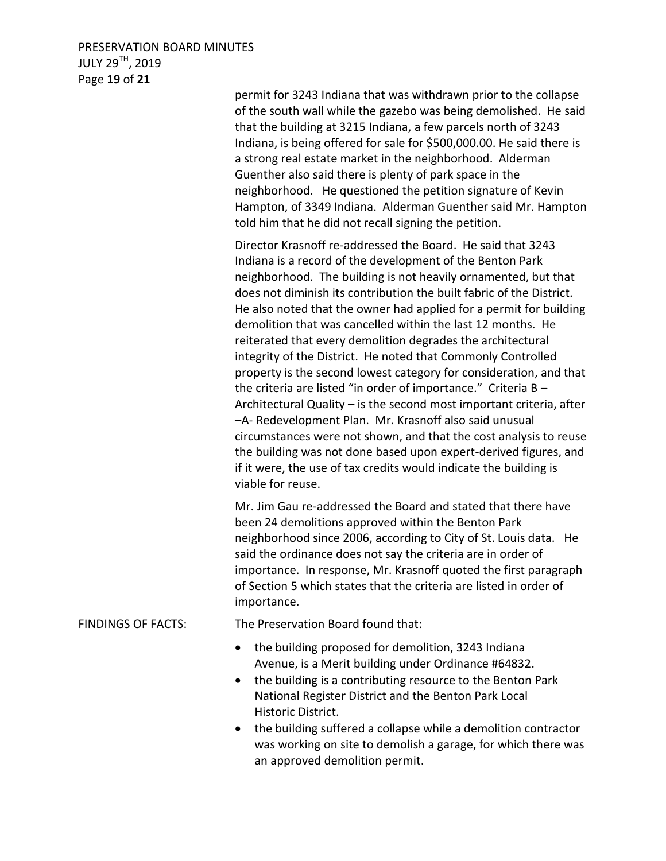## PRESERVATION BOARD MINUTES JULY 29TH, 2019 Page **19** of **21**

permit for 3243 Indiana that was withdrawn prior to the collapse of the south wall while the gazebo was being demolished. He said that the building at 3215 Indiana, a few parcels north of 3243 Indiana, is being offered for sale for \$500,000.00. He said there is a strong real estate market in the neighborhood. Alderman Guenther also said there is plenty of park space in the neighborhood. He questioned the petition signature of Kevin Hampton, of 3349 Indiana. Alderman Guenther said Mr. Hampton told him that he did not recall signing the petition.

Director Krasnoff re-addressed the Board. He said that 3243 Indiana is a record of the development of the Benton Park neighborhood. The building is not heavily ornamented, but that does not diminish its contribution the built fabric of the District. He also noted that the owner had applied for a permit for building demolition that was cancelled within the last 12 months. He reiterated that every demolition degrades the architectural integrity of the District. He noted that Commonly Controlled property is the second lowest category for consideration, and that the criteria are listed "in order of importance." Criteria B – Architectural Quality – is the second most important criteria, after –A- Redevelopment Plan. Mr. Krasnoff also said unusual circumstances were not shown, and that the cost analysis to reuse the building was not done based upon expert-derived figures, and if it were, the use of tax credits would indicate the building is viable for reuse.

Mr. Jim Gau re-addressed the Board and stated that there have been 24 demolitions approved within the Benton Park neighborhood since 2006, according to City of St. Louis data. He said the ordinance does not say the criteria are in order of importance. In response, Mr. Krasnoff quoted the first paragraph of Section 5 which states that the criteria are listed in order of importance.

FINDINGS OF FACTS: The Preservation Board found that:

- the building proposed for demolition, 3243 Indiana Avenue, is a Merit building under Ordinance #64832.
- the building is a contributing resource to the Benton Park National Register District and the Benton Park Local Historic District.
- the building suffered a collapse while a demolition contractor was working on site to demolish a garage, for which there was an approved demolition permit.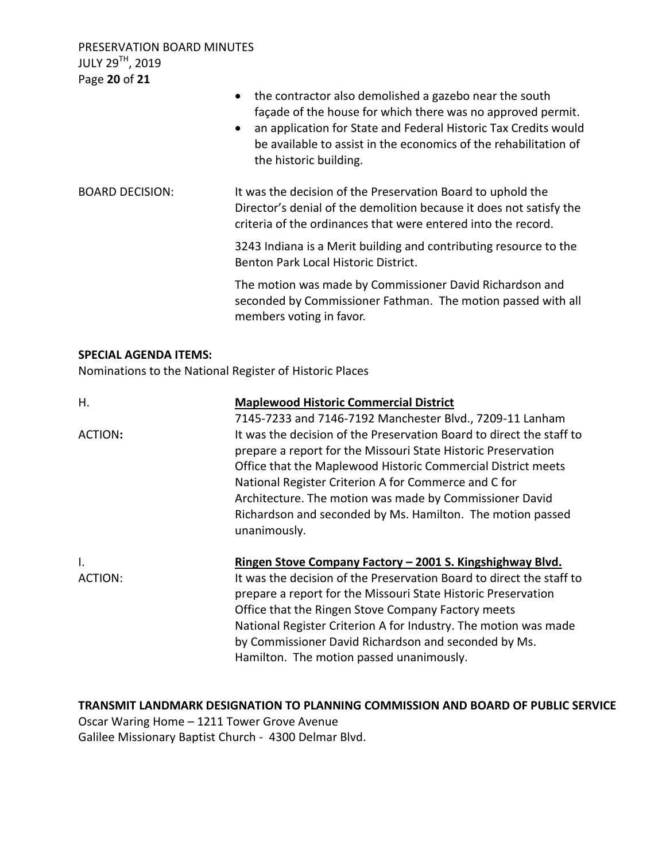PRESERVATION BOARD MINUTES JULY 29TH, 2019 Page **20** of **21**

|                                                                                         | the contractor also demolished a gazebo near the south<br>$\bullet$<br>façade of the house for which there was no approved permit.<br>an application for State and Federal Historic Tax Credits would<br>$\bullet$<br>be available to assist in the economics of the rehabilitation of<br>the historic building. |
|-----------------------------------------------------------------------------------------|------------------------------------------------------------------------------------------------------------------------------------------------------------------------------------------------------------------------------------------------------------------------------------------------------------------|
| <b>BOARD DECISION:</b>                                                                  | It was the decision of the Preservation Board to uphold the<br>Director's denial of the demolition because it does not satisfy the<br>criteria of the ordinances that were entered into the record.                                                                                                              |
|                                                                                         | 3243 Indiana is a Merit building and contributing resource to the<br>Benton Park Local Historic District.                                                                                                                                                                                                        |
|                                                                                         | The motion was made by Commissioner David Richardson and<br>seconded by Commissioner Fathman. The motion passed with all<br>members voting in favor.                                                                                                                                                             |
| <b>SPECIAL AGENDA ITEMS:</b><br>Nominations to the National Register of Historic Places |                                                                                                                                                                                                                                                                                                                  |
| .                                                                                       | المثبطينا والمتمسم وسمعت وتسميلها الموجبين والسواف                                                                                                                                                                                                                                                               |

| н.            | <b>Maplewood Historic Commercial District</b>                                                                                                                                                                                                                                                                                                                                                                                   |
|---------------|---------------------------------------------------------------------------------------------------------------------------------------------------------------------------------------------------------------------------------------------------------------------------------------------------------------------------------------------------------------------------------------------------------------------------------|
|               | 7145-7233 and 7146-7192 Manchester Blvd., 7209-11 Lanham                                                                                                                                                                                                                                                                                                                                                                        |
| ACTION:       | It was the decision of the Preservation Board to direct the staff to<br>prepare a report for the Missouri State Historic Preservation<br>Office that the Maplewood Historic Commercial District meets<br>National Register Criterion A for Commerce and C for<br>Architecture. The motion was made by Commissioner David<br>Richardson and seconded by Ms. Hamilton. The motion passed<br>unanimously.                          |
| Ι.<br>ACTION: | Ringen Stove Company Factory - 2001 S. Kingshighway Blvd.<br>It was the decision of the Preservation Board to direct the staff to<br>prepare a report for the Missouri State Historic Preservation<br>Office that the Ringen Stove Company Factory meets<br>National Register Criterion A for Industry. The motion was made<br>by Commissioner David Richardson and seconded by Ms.<br>Hamilton. The motion passed unanimously. |

**TRANSMIT LANDMARK DESIGNATION TO PLANNING COMMISSION AND BOARD OF PUBLIC SERVICE**  Oscar Waring Home – 1211 Tower Grove Avenue Galilee Missionary Baptist Church - 4300 Delmar Blvd.